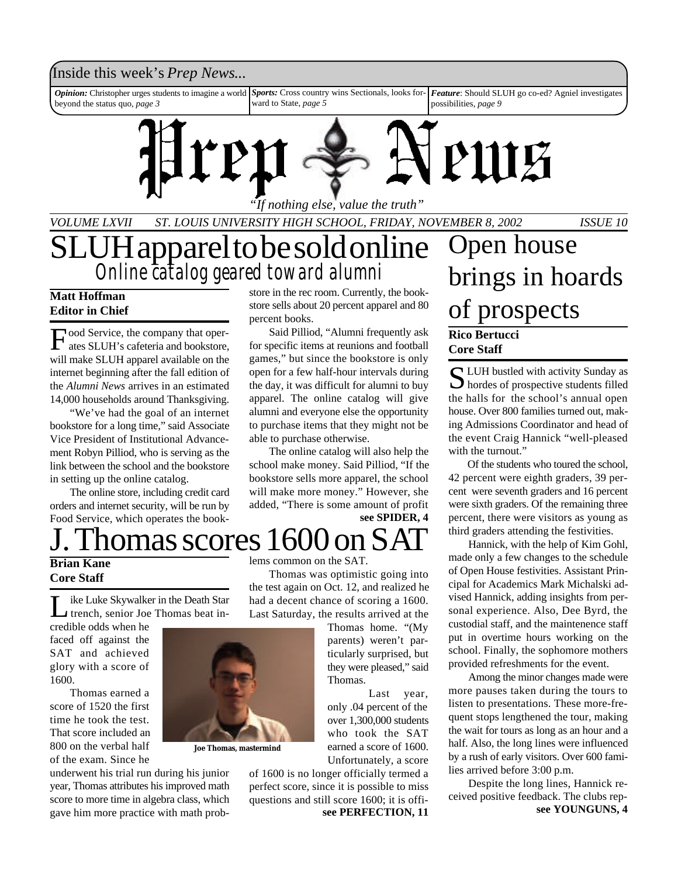### Inside this week's *Prep News*...

*Sports:* Cross country wins Sectionals, looks forward to State, *page 5 Opinion:* Christopher urges students to imagine a world beyond the status quo, *page 3 Feature*: Should SLUH go co-ed? Agniel investigates possibilities, *page 9*



*VOLUME LXVII ST. LOUIS UNIVERSITY HIGH SCHOOL, FRIDAY, NOVEMBER 8, 2002 ISSUE 10*

## UH apparel to be sold online *Online catalog geared toward alumni*

#### **Matt Hoffman Editor in Chief**

Food Service, the company that oper-<br>ates SLUH's cafeteria and bookstore, ates SLUH's cafeteria and bookstore, will make SLUH apparel available on the internet beginning after the fall edition of the *Alumni News* arrives in an estimated 14,000 households around Thanksgiving.

"We've had the goal of an internet bookstore for a long time," said Associate Vice President of Institutional Advancement Robyn Pilliod, who is serving as the link between the school and the bookstore in setting up the online catalog.

The online store, including credit card orders and internet security, will be run by Food Service, which operates the bookstore in the rec room. Currently, the bookstore sells about 20 percent apparel and 80 percent books.

Said Pilliod, "Alumni frequently ask for specific items at reunions and football games," but since the bookstore is only open for a few half-hour intervals during the day, it was difficult for alumni to buy apparel. The online catalog will give alumni and everyone else the opportunity to purchase items that they might not be able to purchase otherwise.

The online catalog will also help the school make money. Said Pilliod, "If the bookstore sells more apparel, the school will make more money." However, she added, "There is some amount of profit

**see SPIDER, 4**

## nomas scores 1600

#### **Brian Kane Core Staff**

Like Luke Skywalke<br>
trench, senior Joe<br>
credible odds when he ike Luke Skywalker in the Death Star trench, senior Joe Thomas beat in-

faced off against the SAT and achieved glory with a score of 1600.

Thomas earned a score of 1520 the first time he took the test. That score included an 800 on the verbal half of the exam. Since he



**Joe Thomas, mastermind**

underwent his trial run during his junior year, Thomas attributes his improved math score to more time in algebra class, which gave him more practice with math problems common on the SAT.

Thomas was optimistic going into the test again on Oct. 12, and realized he had a decent chance of scoring a 1600. Last Saturday, the results arrived at the

> Thomas home. "(My parents) weren't particularly surprised, but they were pleased," said Thomas.

> Last year, only .04 percent of the over 1,300,000 students who took the SAT earned a score of 1600. Unfortunately, a score

of 1600 is no longer officially termed a perfect score, since it is possible to miss questions and still score 1600; it is offi-

## **Rico Bertucci Core Staff** Open house brings in hoards of prospects

S LUH bustled with activity Sunday as<br>hordes of prospective students filled  $\bigcup$  hordes of prospective students filled the halls for the school's annual open house. Over 800 families turned out, making Admissions Coordinator and head of the event Craig Hannick "well-pleased with the turnout."

Of the students who toured the school, 42 percent were eighth graders, 39 percent were seventh graders and 16 percent were sixth graders. Of the remaining three percent, there were visitors as young as third graders attending the festivities.

Hannick, with the help of Kim Gohl, made only a few changes to the schedule of Open House festivities. Assistant Principal for Academics Mark Michalski advised Hannick, adding insights from personal experience. Also, Dee Byrd, the custodial staff, and the maintenence staff put in overtime hours working on the school. Finally, the sophomore mothers provided refreshments for the event.

Among the minor changes made were more pauses taken during the tours to listen to presentations. These more-frequent stops lengthened the tour, making the wait for tours as long as an hour and a half. Also, the long lines were influenced by a rush of early visitors. Over 600 families arrived before 3:00 p.m.

Despite the long lines, Hannick received positive feedback. The clubs rep**see PERFECTION, 11 see YOUNGUNS, 4**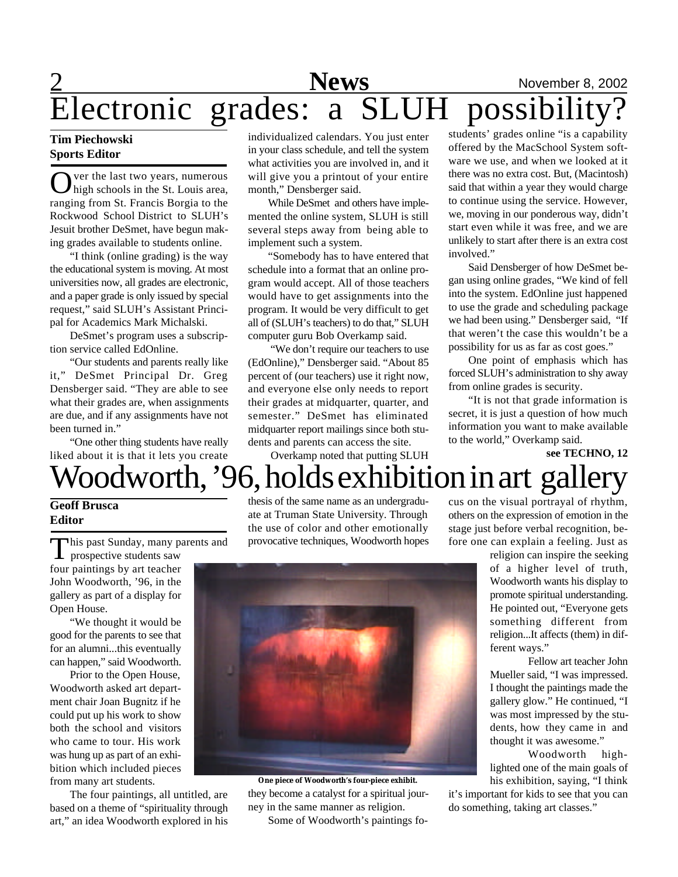## **2** News November 8, 2002 Electronic grades: a SLUH possibility?

#### **Tim Piechowski Sports Editor**

O ver the last two years, numerous<br>high schools in the St. Louis area, ver the last two years, numerous ranging from St. Francis Borgia to the Rockwood School District to SLUH's Jesuit brother DeSmet, have begun making grades available to students online.

"I think (online grading) is the way the educational system is moving. At most universities now, all grades are electronic, and a paper grade is only issued by special request," said SLUH's Assistant Principal for Academics Mark Michalski.

DeSmet's program uses a subscription service called EdOnline.

"Our students and parents really like it," DeSmet Principal Dr. Greg Densberger said. "They are able to see what their grades are, when assignments are due, and if any assignments have not been turned in."

"One other thing students have really liked about it is that it lets you create

individualized calendars. You just enter in your class schedule, and tell the system what activities you are involved in, and it will give you a printout of your entire month," Densberger said.

While DeSmet and others have implemented the online system, SLUH is still several steps away from being able to implement such a system.

"Somebody has to have entered that schedule into a format that an online program would accept. All of those teachers would have to get assignments into the program. It would be very difficult to get all of (SLUH's teachers) to do that," SLUH computer guru Bob Overkamp said.

 "We don't require our teachers to use (EdOnline)," Densberger said. "About 85 percent of (our teachers) use it right now, and everyone else only needs to report their grades at midquarter, quarter, and semester." DeSmet has eliminated midquarter report mailings since both students and parents can access the site.

Overkamp noted that putting SLUH

students' grades online "is a capability offered by the MacSchool System software we use, and when we looked at it there was no extra cost. But, (Macintosh) said that within a year they would charge to continue using the service. However, we, moving in our ponderous way, didn't start even while it was free, and we are unlikely to start after there is an extra cost involved."

Said Densberger of how DeSmet began using online grades, "We kind of fell into the system. EdOnline just happened to use the grade and scheduling package we had been using." Densberger said, "If that weren't the case this wouldn't be a possibility for us as far as cost goes."

One point of emphasis which has forced SLUH's administration to shy away from online grades is security.

"It is not that grade information is secret, it is just a question of how much information you want to make available to the world," Overkamp said.

**see TECHNO, 12**

# Woodworth, '96, holds exhibition in art gallery

#### **Geoff Brusca Editor**

his past Sunday, many parents and

This past Sunday, many p<br>prospective students saw four paintings by art teacher John Woodworth, '96, in the gallery as part of a display for Open House.

"We thought it would be good for the parents to see that for an alumni...this eventually can happen," said Woodworth.

Prior to the Open House, Woodworth asked art department chair Joan Bugnitz if he could put up his work to show both the school and visitors who came to tour. His work was hung up as part of an exhibition which included pieces from many art students.

The four paintings, all untitled, are based on a theme of "spirituality through art," an idea Woodworth explored in his

thesis of the same name as an undergraduate at Truman State University. Through the use of color and other emotionally provocative techniques, Woodworth hopes cus on the visual portrayal of rhythm, others on the expression of emotion in the stage just before verbal recognition, before one can explain a feeling. Just as

> religion can inspire the seeking of a higher level of truth, Woodworth wants his display to promote spiritual understanding. He pointed out, "Everyone gets something different from religion...It affects (them) in different ways."

> Fellow art teacher John Mueller said, "I was impressed. I thought the paintings made the gallery glow." He continued, "I was most impressed by the students, how they came in and thought it was awesome."

> Woodworth highlighted one of the main goals of his exhibition, saying, "I think

it's important for kids to see that you can do something, taking art classes."



**One piece of Woodworth's four-piece exhibit.**

they become a catalyst for a spiritual journey in the same manner as religion. Some of Woodworth's paintings fo-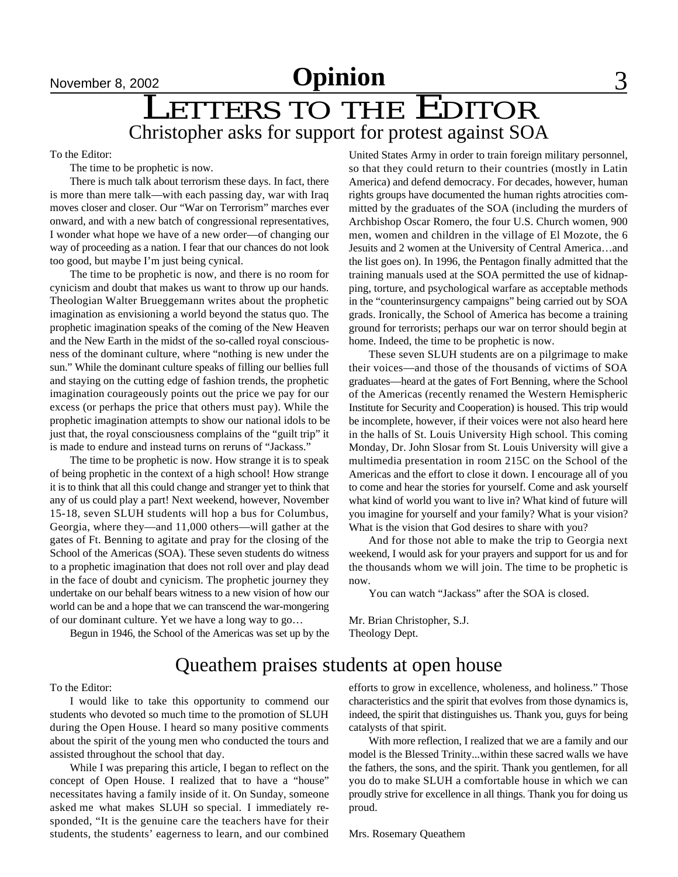## LETTERS TO THE EDITOR Christopher asks for support for protest against SOA

To the Editor:

The time to be prophetic is now.

There is much talk about terrorism these days. In fact, there is more than mere talk—with each passing day, war with Iraq moves closer and closer. Our "War on Terrorism" marches ever onward, and with a new batch of congressional representatives, I wonder what hope we have of a new order—of changing our way of proceeding as a nation. I fear that our chances do not look too good, but maybe I'm just being cynical.

The time to be prophetic is now, and there is no room for cynicism and doubt that makes us want to throw up our hands. Theologian Walter Brueggemann writes about the prophetic imagination as envisioning a world beyond the status quo. The prophetic imagination speaks of the coming of the New Heaven and the New Earth in the midst of the so-called royal consciousness of the dominant culture, where "nothing is new under the sun." While the dominant culture speaks of filling our bellies full and staying on the cutting edge of fashion trends, the prophetic imagination courageously points out the price we pay for our excess (or perhaps the price that others must pay). While the prophetic imagination attempts to show our national idols to be just that, the royal consciousness complains of the "guilt trip" it is made to endure and instead turns on reruns of "Jackass."

The time to be prophetic is now. How strange it is to speak of being prophetic in the context of a high school! How strange it is to think that all this could change and stranger yet to think that any of us could play a part! Next weekend, however, November 15-18, seven SLUH students will hop a bus for Columbus, Georgia, where they—and 11,000 others—will gather at the gates of Ft. Benning to agitate and pray for the closing of the School of the Americas (SOA). These seven students do witness to a prophetic imagination that does not roll over and play dead in the face of doubt and cynicism. The prophetic journey they undertake on our behalf bears witness to a new vision of how our world can be and a hope that we can transcend the war-mongering of our dominant culture. Yet we have a long way to go…

Begun in 1946, the School of the Americas was set up by the

United States Army in order to train foreign military personnel, so that they could return to their countries (mostly in Latin America) and defend democracy. For decades, however, human rights groups have documented the human rights atrocities committed by the graduates of the SOA (including the murders of Archbishop Oscar Romero, the four U.S. Church women, 900 men, women and children in the village of El Mozote, the 6 Jesuits and 2 women at the University of Central America…and the list goes on). In 1996, the Pentagon finally admitted that the training manuals used at the SOA permitted the use of kidnapping, torture, and psychological warfare as acceptable methods in the "counterinsurgency campaigns" being carried out by SOA grads. Ironically, the School of America has become a training ground for terrorists; perhaps our war on terror should begin at home. Indeed, the time to be prophetic is now.

These seven SLUH students are on a pilgrimage to make their voices—and those of the thousands of victims of SOA graduates—heard at the gates of Fort Benning, where the School of the Americas (recently renamed the Western Hemispheric Institute for Security and Cooperation) is housed. This trip would be incomplete, however, if their voices were not also heard here in the halls of St. Louis University High school. This coming Monday, Dr. John Slosar from St. Louis University will give a multimedia presentation in room 215C on the School of the Americas and the effort to close it down. I encourage all of you to come and hear the stories for yourself. Come and ask yourself what kind of world you want to live in? What kind of future will you imagine for yourself and your family? What is your vision? What is the vision that God desires to share with you?

And for those not able to make the trip to Georgia next weekend, I would ask for your prayers and support for us and for the thousands whom we will join. The time to be prophetic is now.

You can watch "Jackass" after the SOA is closed.

Mr. Brian Christopher, S.J. Theology Dept.

## Queathem praises students at open house

To the Editor:

I would like to take this opportunity to commend our students who devoted so much time to the promotion of SLUH during the Open House. I heard so many positive comments about the spirit of the young men who conducted the tours and assisted throughout the school that day.

While I was preparing this article, I began to reflect on the concept of Open House. I realized that to have a "house" necessitates having a family inside of it. On Sunday, someone asked me what makes SLUH so special. I immediately responded, "It is the genuine care the teachers have for their students, the students' eagerness to learn, and our combined efforts to grow in excellence, wholeness, and holiness." Those characteristics and the spirit that evolves from those dynamics is, indeed, the spirit that distinguishes us. Thank you, guys for being catalysts of that spirit.

With more reflection, I realized that we are a family and our model is the Blessed Trinity...within these sacred walls we have the fathers, the sons, and the spirit. Thank you gentlemen, for all you do to make SLUH a comfortable house in which we can proudly strive for excellence in all things. Thank you for doing us proud.

Mrs. Rosemary Queathem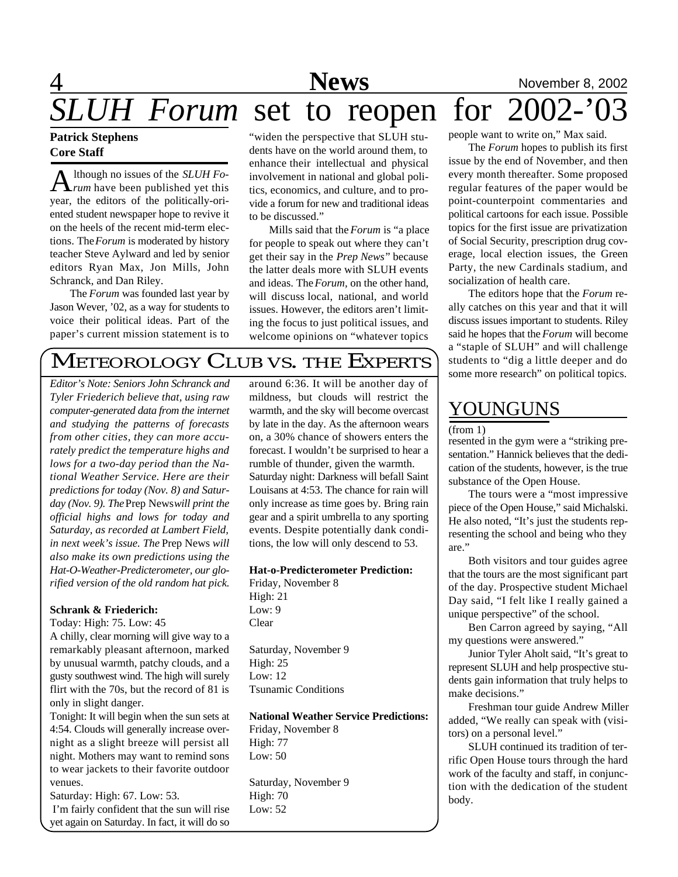## 4 **News** November 8, 2002 SLUH Forum set to reopen for 2002-

### **Patrick Stephens Core Staff**

A lthough no issues of the *SLUH Formum* have been published yet this lthough no issues of the *SLUH Fo*year, the editors of the politically-oriented student newspaper hope to revive it on the heels of the recent mid-term elections. The *Forum* is moderated by history teacher Steve Aylward and led by senior editors Ryan Max, Jon Mills, John Schranck, and Dan Riley.

The *Forum* was founded last year by Jason Wever, '02, as a way for students to voice their political ideas. Part of the paper's current mission statement is to

"widen the perspective that SLUH students have on the world around them, to enhance their intellectual and physical involvement in national and global politics, economics, and culture, and to provide a forum for new and traditional ideas to be discussed."

Mills said that the *Forum* is "a place for people to speak out where they can't get their say in the *Prep News*" because the latter deals more with SLUH events and ideas. The *Forum,* on the other hand, will discuss local, national, and world issues. However, the editors aren't limiting the focus to just political issues, and welcome opinions on "whatever topics

## METEOROLOGY CLUB VS. THE EXPERTS

*Editor's Note: Seniors John Schranck and Tyler Friederich believe that, using raw computer-generated data from the internet and studying the patterns of forecasts from other cities, they can more accurately predict the temperature highs and lows for a two-day period than the National Weather Service. Here are their predictions for today (Nov. 8) and Saturday (Nov. 9). The* Prep News *will print the official highs and lows for today and Saturday, as recorded at Lambert Field, in next week's issue. The* Prep News *will also make its own predictions using the Hat-O-Weather-Predicterometer, our glorified version of the old random hat pick.*

#### **Schrank & Friederich:**

Today: High: 75. Low: 45

A chilly, clear morning will give way to a remarkably pleasant afternoon, marked by unusual warmth, patchy clouds, and a gusty southwest wind. The high will surely flirt with the 70s, but the record of 81 is only in slight danger.

Tonight: It will begin when the sun sets at 4:54. Clouds will generally increase overnight as a slight breeze will persist all night. Mothers may want to remind sons to wear jackets to their favorite outdoor venues.

Saturday: High: 67. Low: 53. I'm fairly confident that the sun will rise yet again on Saturday. In fact, it will do so

around 6:36. It will be another day of mildness, but clouds will restrict the warmth, and the sky will become overcast by late in the day. As the afternoon wears on, a 30% chance of showers enters the forecast. I wouldn't be surprised to hear a rumble of thunder, given the warmth. Saturday night: Darkness will befall Saint Louisans at 4:53. The chance for rain will only increase as time goes by. Bring rain gear and a spirit umbrella to any sporting events. Despite potentially dank conditions, the low will only descend to 53.

#### **Hat-o-Predicterometer Prediction:**

Friday, November 8 High: 21 Low: 9 Clear

Saturday, November 9 High: 25 Low: 12 Tsunamic Conditions

**National Weather Service Predictions:**

Friday, November 8 High: 77 Low: 50

Saturday, November 9 High: 70 Low: 52

people want to write on," Max said.

The *Forum* hopes to publish its first issue by the end of November, and then every month thereafter. Some proposed regular features of the paper would be point-counterpoint commentaries and political cartoons for each issue. Possible topics for the first issue are privatization of Social Security, prescription drug coverage, local election issues, the Green Party, the new Cardinals stadium, and socialization of health care.

The editors hope that the *Forum* really catches on this year and that it will discuss issues important to students. Riley said he hopes that the *Forum* will become a "staple of SLUH" and will challenge students to "dig a little deeper and do some more research" on political topics.

## YOUNGUNS

#### (from 1)

resented in the gym were a "striking presentation." Hannick believes that the dedication of the students, however, is the true substance of the Open House.

The tours were a "most impressive piece of the Open House," said Michalski. He also noted, "It's just the students representing the school and being who they are."

Both visitors and tour guides agree that the tours are the most significant part of the day. Prospective student Michael Day said, "I felt like I really gained a unique perspective" of the school.

Ben Carron agreed by saying, "All my questions were answered."

Junior Tyler Aholt said, "It's great to represent SLUH and help prospective students gain information that truly helps to make decisions."

Freshman tour guide Andrew Miller added, "We really can speak with (visitors) on a personal level."

SLUH continued its tradition of terrific Open House tours through the hard work of the faculty and staff, in conjunction with the dedication of the student body.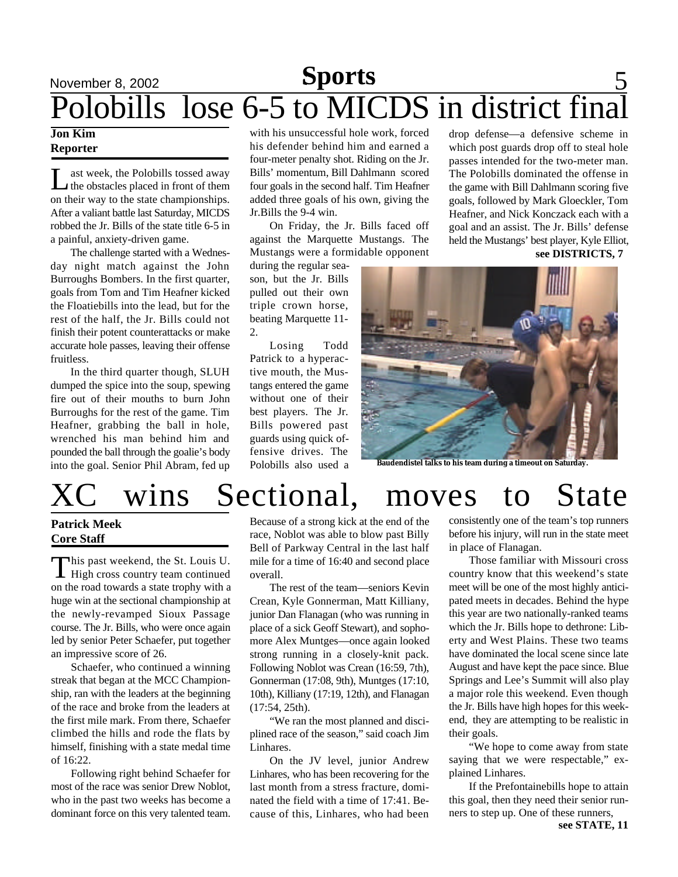## November 8, 2002 **Sports** 5 Polobills lose 6-5 to MICDS in district final

#### **Jon Kim Reporter**

Let us the Polobills tossed away<br>the obstacles placed in front of them<br>on their way to the state championships. ast week, the Polobills tossed away the obstacles placed in front of them After a valiant battle last Saturday, MICDS robbed the Jr. Bills of the state title 6-5 in a painful, anxiety-driven game.

The challenge started with a Wednesday night match against the John Burroughs Bombers. In the first quarter, goals from Tom and Tim Heafner kicked the Floatiebills into the lead, but for the rest of the half, the Jr. Bills could not finish their potent counterattacks or make accurate hole passes, leaving their offense fruitless.

In the third quarter though, SLUH dumped the spice into the soup, spewing fire out of their mouths to burn John Burroughs for the rest of the game. Tim Heafner, grabbing the ball in hole, wrenched his man behind him and pounded the ball through the goalie's body into the goal. Senior Phil Abram, fed up

with his unsuccessful hole work, forced his defender behind him and earned a four-meter penalty shot. Riding on the Jr. Bills' momentum, Bill Dahlmann scored four goals in the second half. Tim Heafner added three goals of his own, giving the Jr.Bills the 9-4 win.

On Friday, the Jr. Bills faced off against the Marquette Mustangs. The Mustangs were a formidable opponent

during the regular season, but the Jr. Bills pulled out their own triple crown horse, beating Marquette 11- 2.

Losing Todd Patrick to a hyperactive mouth, the Mustangs entered the game without one of their best players. The Jr. Bills powered past guards using quick offensive drives. The Polobills also used a drop defense—a defensive scheme in which post guards drop off to steal hole passes intended for the two-meter man. The Polobills dominated the offense in the game with Bill Dahlmann scoring five goals, followed by Mark Gloeckler, Tom Heafner, and Nick Konczack each with a goal and an assist. The Jr. Bills' defense held the Mustangs' best player, Kyle Elliot, **see DISTRICTS, 7**



**Baudendistel talks to his team during a timeout on Saturday.**

# wins Sectional, moves to State

### **Patrick Meek Core Staff**

This past weekend, the St. Louis U.<br>
High cross country team continued his past weekend, the St. Louis U. on the road towards a state trophy with a huge win at the sectional championship at the newly-revamped Sioux Passage course. The Jr. Bills, who were once again led by senior Peter Schaefer, put together an impressive score of 26.

Schaefer, who continued a winning streak that began at the MCC Championship, ran with the leaders at the beginning of the race and broke from the leaders at the first mile mark. From there, Schaefer climbed the hills and rode the flats by himself, finishing with a state medal time of 16:22.

Following right behind Schaefer for most of the race was senior Drew Noblot, who in the past two weeks has become a dominant force on this very talented team.

Because of a strong kick at the end of the race, Noblot was able to blow past Billy Bell of Parkway Central in the last half mile for a time of 16:40 and second place overall.

The rest of the team—seniors Kevin Crean, Kyle Gonnerman, Matt Killiany, junior Dan Flanagan (who was running in place of a sick Geoff Stewart), and sophomore Alex Muntges—once again looked strong running in a closely-knit pack. Following Noblot was Crean (16:59, 7th), Gonnerman (17:08, 9th), Muntges (17:10, 10th), Killiany (17:19, 12th), and Flanagan (17:54, 25th).

"We ran the most planned and disciplined race of the season," said coach Jim Linhares.

On the JV level, junior Andrew Linhares, who has been recovering for the last month from a stress fracture, dominated the field with a time of 17:41. Because of this, Linhares, who had been

consistently one of the team's top runners before his injury, will run in the state meet in place of Flanagan.

Those familiar with Missouri cross country know that this weekend's state meet will be one of the most highly anticipated meets in decades. Behind the hype this year are two nationally-ranked teams which the Jr. Bills hope to dethrone: Liberty and West Plains. These two teams have dominated the local scene since late August and have kept the pace since. Blue Springs and Lee's Summit will also play a major role this weekend. Even though the Jr. Bills have high hopes for this weekend, they are attempting to be realistic in their goals.

"We hope to come away from state saying that we were respectable," explained Linhares.

If the Prefontainebills hope to attain this goal, then they need their senior runners to step up. One of these runners,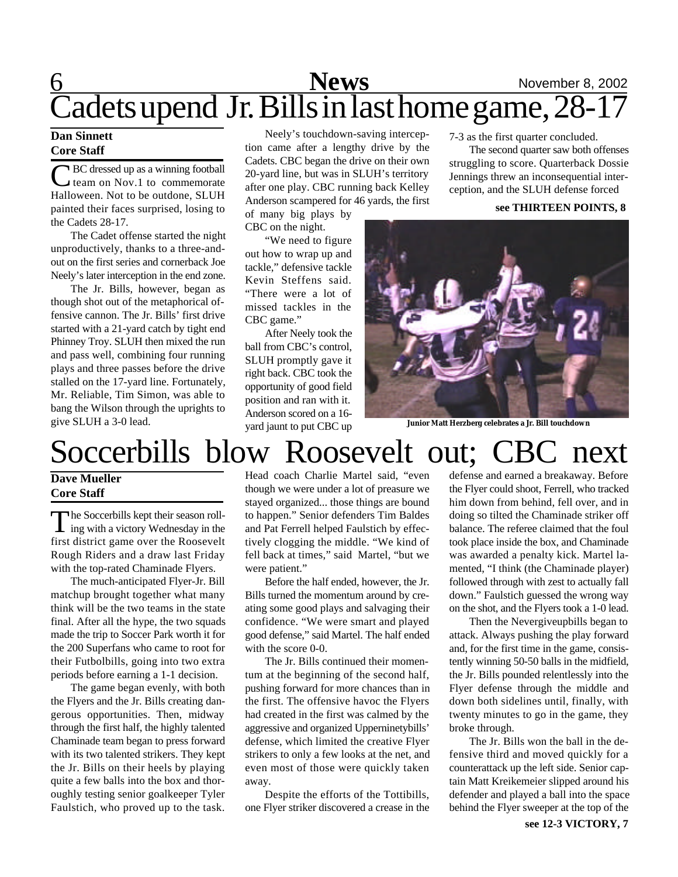## 6 **News** November 8, 2002 Cadets upend Jr. Bills in last home game, 28-17

#### **Dan Sinnett Core Staff**

C BC dressed up as a winning football<br>team on Nov.1 to commemorate team on Nov.1 to commemorate Halloween. Not to be outdone, SLUH painted their faces surprised, losing to the Cadets 28-17.

The Cadet offense started the night unproductively, thanks to a three-andout on the first series and cornerback Joe Neely's later interception in the end zone.

The Jr. Bills, however, began as though shot out of the metaphorical offensive cannon. The Jr. Bills' first drive started with a 21-yard catch by tight end Phinney Troy. SLUH then mixed the run and pass well, combining four running plays and three passes before the drive stalled on the 17-yard line. Fortunately, Mr. Reliable, Tim Simon, was able to bang the Wilson through the uprights to give SLUH a 3-0 lead.

Neely's touchdown-saving interception came after a lengthy drive by the Cadets. CBC began the drive on their own 20-yard line, but was in SLUH's territory after one play. CBC running back Kelley Anderson scampered for 46 yards, the first

of many big plays by CBC on the night.

"We need to figure out how to wrap up and tackle," defensive tackle Kevin Steffens said. "There were a lot of missed tackles in the CBC game."

After Neely took the ball from CBC's control, SLUH promptly gave it right back. CBC took the opportunity of good field position and ran with it. Anderson scored on a 16 yard jaunt to put CBC up

7-3 as the first quarter concluded.

The second quarter saw both offenses struggling to score. Quarterback Dossie Jennings threw an inconsequential interception, and the SLUH defense forced

#### **see THIRTEEN POINTS, 8**



**Junior Matt Herzberg celebrates a Jr. Bill touchdown**

# Soccerbills blow Roosevelt out; CBC next

### **Dave Mueller Core Staff**

The Soccerbills kept their season roll-<br>ing with a victory Wednesday in the he Soccerbills kept their season rollfirst district game over the Roosevelt Rough Riders and a draw last Friday with the top-rated Chaminade Flyers.

The much-anticipated Flyer-Jr. Bill matchup brought together what many think will be the two teams in the state final. After all the hype, the two squads made the trip to Soccer Park worth it for the 200 Superfans who came to root for their Futbolbills, going into two extra periods before earning a 1-1 decision.

The game began evenly, with both the Flyers and the Jr. Bills creating dangerous opportunities. Then, midway through the first half, the highly talented Chaminade team began to press forward with its two talented strikers. They kept the Jr. Bills on their heels by playing quite a few balls into the box and thoroughly testing senior goalkeeper Tyler Faulstich, who proved up to the task. Head coach Charlie Martel said, "even though we were under a lot of preasure we stayed organized... those things are bound to happen." Senior defenders Tim Baldes and Pat Ferrell helped Faulstich by effectively clogging the middle. "We kind of fell back at times," said Martel, "but we were patient."

Before the half ended, however, the Jr. Bills turned the momentum around by creating some good plays and salvaging their confidence. "We were smart and played good defense," said Martel. The half ended with the score 0-0.

The Jr. Bills continued their momentum at the beginning of the second half, pushing forward for more chances than in the first. The offensive havoc the Flyers had created in the first was calmed by the aggressive and organized Upperninetybills' defense, which limited the creative Flyer strikers to only a few looks at the net, and even most of those were quickly taken away.

Despite the efforts of the Tottibills, one Flyer striker discovered a crease in the defense and earned a breakaway. Before the Flyer could shoot, Ferrell, who tracked him down from behind, fell over, and in doing so tilted the Chaminade striker off balance. The referee claimed that the foul took place inside the box, and Chaminade was awarded a penalty kick. Martel lamented, "I think (the Chaminade player) followed through with zest to actually fall down." Faulstich guessed the wrong way on the shot, and the Flyers took a 1-0 lead.

Then the Nevergiveupbills began to attack. Always pushing the play forward and, for the first time in the game, consistently winning 50-50 balls in the midfield, the Jr. Bills pounded relentlessly into the Flyer defense through the middle and down both sidelines until, finally, with twenty minutes to go in the game, they broke through.

The Jr. Bills won the ball in the defensive third and moved quickly for a counterattack up the left side. Senior captain Matt Kreikemeier slipped around his defender and played a ball into the space behind the Flyer sweeper at the top of the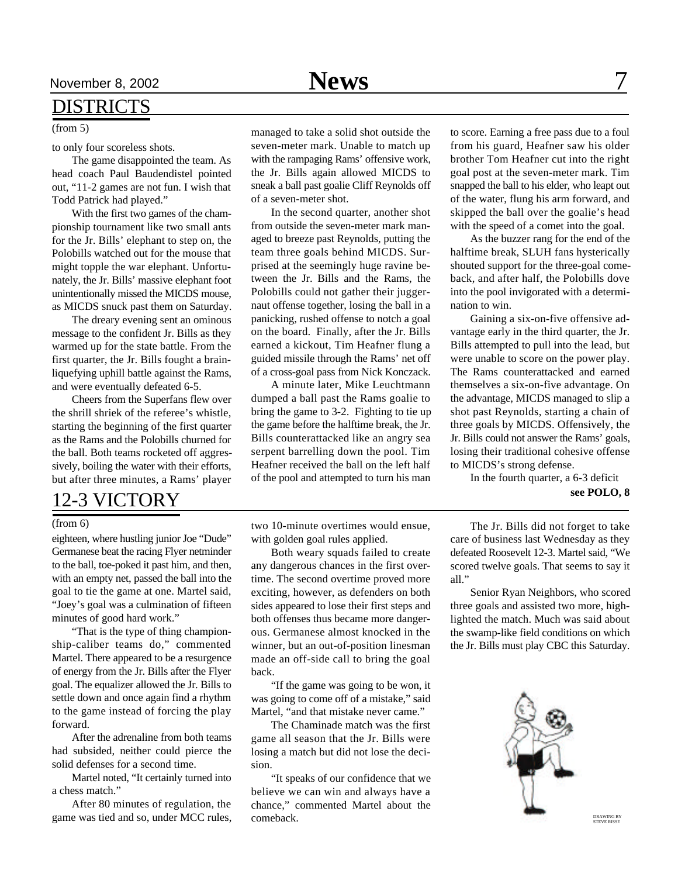### DISTRICTS

#### (from 5)

to only four scoreless shots.

The game disappointed the team. As head coach Paul Baudendistel pointed out, "11-2 games are not fun. I wish that Todd Patrick had played."

With the first two games of the championship tournament like two small ants for the Jr. Bills' elephant to step on, the Polobills watched out for the mouse that might topple the war elephant. Unfortunately, the Jr. Bills' massive elephant foot unintentionally missed the MICDS mouse, as MICDS snuck past them on Saturday.

The dreary evening sent an ominous message to the confident Jr. Bills as they warmed up for the state battle. From the first quarter, the Jr. Bills fought a brainliquefying uphill battle against the Rams, and were eventually defeated 6-5.

Cheers from the Superfans flew over the shrill shriek of the referee's whistle, starting the beginning of the first quarter as the Rams and the Polobills churned for the ball. Both teams rocketed off aggressively, boiling the water with their efforts, but after three minutes, a Rams' player

### 12-3 VICTORY

#### (from 6)

eighteen, where hustling junior Joe "Dude" Germanese beat the racing Flyer netminder to the ball, toe-poked it past him, and then, with an empty net, passed the ball into the goal to tie the game at one. Martel said, "Joey's goal was a culmination of fifteen minutes of good hard work."

"That is the type of thing championship-caliber teams do," commented Martel. There appeared to be a resurgence of energy from the Jr. Bills after the Flyer goal. The equalizer allowed the Jr. Bills to settle down and once again find a rhythm to the game instead of forcing the play forward.

After the adrenaline from both teams had subsided, neither could pierce the solid defenses for a second time.

Martel noted, "It certainly turned into a chess match."

After 80 minutes of regulation, the game was tied and so, under MCC rules, managed to take a solid shot outside the seven-meter mark. Unable to match up with the rampaging Rams' offensive work, the Jr. Bills again allowed MICDS to sneak a ball past goalie Cliff Reynolds off of a seven-meter shot.

In the second quarter, another shot from outside the seven-meter mark managed to breeze past Reynolds, putting the team three goals behind MICDS. Surprised at the seemingly huge ravine between the Jr. Bills and the Rams, the Polobills could not gather their juggernaut offense together, losing the ball in a panicking, rushed offense to notch a goal on the board. Finally, after the Jr. Bills earned a kickout, Tim Heafner flung a guided missile through the Rams' net off of a cross-goal pass from Nick Konczack.

A minute later, Mike Leuchtmann dumped a ball past the Rams goalie to bring the game to 3-2. Fighting to tie up the game before the halftime break, the Jr. Bills counterattacked like an angry sea serpent barrelling down the pool. Tim Heafner received the ball on the left half of the pool and attempted to turn his man

two 10-minute overtimes would ensue, with golden goal rules applied.

Both weary squads failed to create any dangerous chances in the first overtime. The second overtime proved more exciting, however, as defenders on both sides appeared to lose their first steps and both offenses thus became more dangerous. Germanese almost knocked in the winner, but an out-of-position linesman made an off-side call to bring the goal back.

"If the game was going to be won, it was going to come off of a mistake," said Martel, "and that mistake never came."

The Chaminade match was the first game all season that the Jr. Bills were losing a match but did not lose the decision.

"It speaks of our confidence that we believe we can win and always have a chance," commented Martel about the comeback.

to score. Earning a free pass due to a foul from his guard, Heafner saw his older brother Tom Heafner cut into the right goal post at the seven-meter mark. Tim snapped the ball to his elder, who leapt out of the water, flung his arm forward, and skipped the ball over the goalie's head with the speed of a comet into the goal.

As the buzzer rang for the end of the halftime break, SLUH fans hysterically shouted support for the three-goal comeback, and after half, the Polobills dove into the pool invigorated with a determination to win.

Gaining a six-on-five offensive advantage early in the third quarter, the Jr. Bills attempted to pull into the lead, but were unable to score on the power play. The Rams counterattacked and earned themselves a six-on-five advantage. On the advantage, MICDS managed to slip a shot past Reynolds, starting a chain of three goals by MICDS. Offensively, the Jr. Bills could not answer the Rams' goals, losing their traditional cohesive offense to MICDS's strong defense.

In the fourth quarter, a 6-3 deficit

**see POLO, 8**

The Jr. Bills did not forget to take care of business last Wednesday as they defeated Roosevelt 12-3. Martel said, "We scored twelve goals. That seems to say it all."

Senior Ryan Neighbors, who scored three goals and assisted two more, highlighted the match. Much was said about the swamp-like field conditions on which the Jr. Bills must play CBC this Saturday.

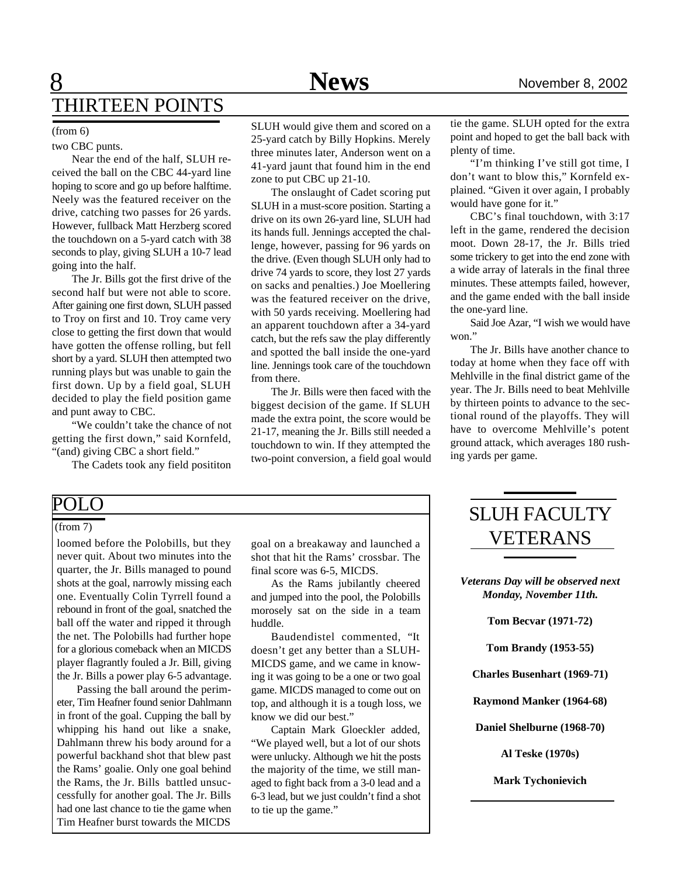## **8** News News November 8, 2002 THIRTEEN POINTS

#### (from 6)

two CBC punts.

Near the end of the half, SLUH received the ball on the CBC 44-yard line hoping to score and go up before halftime. Neely was the featured receiver on the drive, catching two passes for 26 yards. However, fullback Matt Herzberg scored the touchdown on a 5-yard catch with 38 seconds to play, giving SLUH a 10-7 lead going into the half.

The Jr. Bills got the first drive of the second half but were not able to score. After gaining one first down, SLUH passed to Troy on first and 10. Troy came very close to getting the first down that would have gotten the offense rolling, but fell short by a yard. SLUH then attempted two running plays but was unable to gain the first down. Up by a field goal, SLUH decided to play the field position game and punt away to CBC.

"We couldn't take the chance of not getting the first down," said Kornfeld, "(and) giving CBC a short field."

The Cadets took any field posititon

SLUH would give them and scored on a 25-yard catch by Billy Hopkins. Merely three minutes later, Anderson went on a 41-yard jaunt that found him in the end zone to put CBC up 21-10.

The onslaught of Cadet scoring put SLUH in a must-score position. Starting a drive on its own 26-yard line, SLUH had its hands full. Jennings accepted the challenge, however, passing for 96 yards on the drive. (Even though SLUH only had to drive 74 yards to score, they lost 27 yards on sacks and penalties.) Joe Moellering was the featured receiver on the drive, with 50 yards receiving. Moellering had an apparent touchdown after a 34-yard catch, but the refs saw the play differently and spotted the ball inside the one-yard line. Jennings took care of the touchdown from there.

The Jr. Bills were then faced with the biggest decision of the game. If SLUH made the extra point, the score would be 21-17, meaning the Jr. Bills still needed a touchdown to win. If they attempted the two-point conversion, a field goal would tie the game. SLUH opted for the extra point and hoped to get the ball back with plenty of time.

"I'm thinking I've still got time, I don't want to blow this," Kornfeld explained. "Given it over again, I probably would have gone for it."

CBC's final touchdown, with 3:17 left in the game, rendered the decision moot. Down 28-17, the Jr. Bills tried some trickery to get into the end zone with a wide array of laterals in the final three minutes. These attempts failed, however, and the game ended with the ball inside the one-yard line.

Said Joe Azar, "I wish we would have won."

The Jr. Bills have another chance to today at home when they face off with Mehlville in the final district game of the year. The Jr. Bills need to beat Mehlville by thirteen points to advance to the sectional round of the playoffs. They will have to overcome Mehlville's potent ground attack, which averages 180 rushing yards per game.

### POLO

#### (from 7)

loomed before the Polobills, but they never quit. About two minutes into the quarter, the Jr. Bills managed to pound shots at the goal, narrowly missing each one. Eventually Colin Tyrrell found a rebound in front of the goal, snatched the ball off the water and ripped it through the net. The Polobills had further hope for a glorious comeback when an MICDS player flagrantly fouled a Jr. Bill, giving the Jr. Bills a power play 6-5 advantage.

Passing the ball around the perimeter, Tim Heafner found senior Dahlmann in front of the goal. Cupping the ball by whipping his hand out like a snake, Dahlmann threw his body around for a powerful backhand shot that blew past the Rams' goalie. Only one goal behind the Rams, the Jr. Bills battled unsuccessfully for another goal. The Jr. Bills had one last chance to tie the game when Tim Heafner burst towards the MICDS

goal on a breakaway and launched a shot that hit the Rams' crossbar. The final score was 6-5, MICDS.

As the Rams jubilantly cheered and jumped into the pool, the Polobills morosely sat on the side in a team huddle.

Baudendistel commented, "It doesn't get any better than a SLUH-MICDS game, and we came in knowing it was going to be a one or two goal game. MICDS managed to come out on top, and although it is a tough loss, we know we did our best."

Captain Mark Gloeckler added, "We played well, but a lot of our shots were unlucky. Although we hit the posts the majority of the time, we still managed to fight back from a 3-0 lead and a 6-3 lead, but we just couldn't find a shot to tie up the game."

## SLUH FACULTY VETERANS

*Veterans Day will be observed next Monday, November 11th.*

**Tom Becvar (1971-72)**

**Tom Brandy (1953-55)**

**Charles Busenhart (1969-71)**

**Raymond Manker (1964-68)**

**Daniel Shelburne (1968-70)**

**Al Teske (1970s)**

**Mark Tychonievich**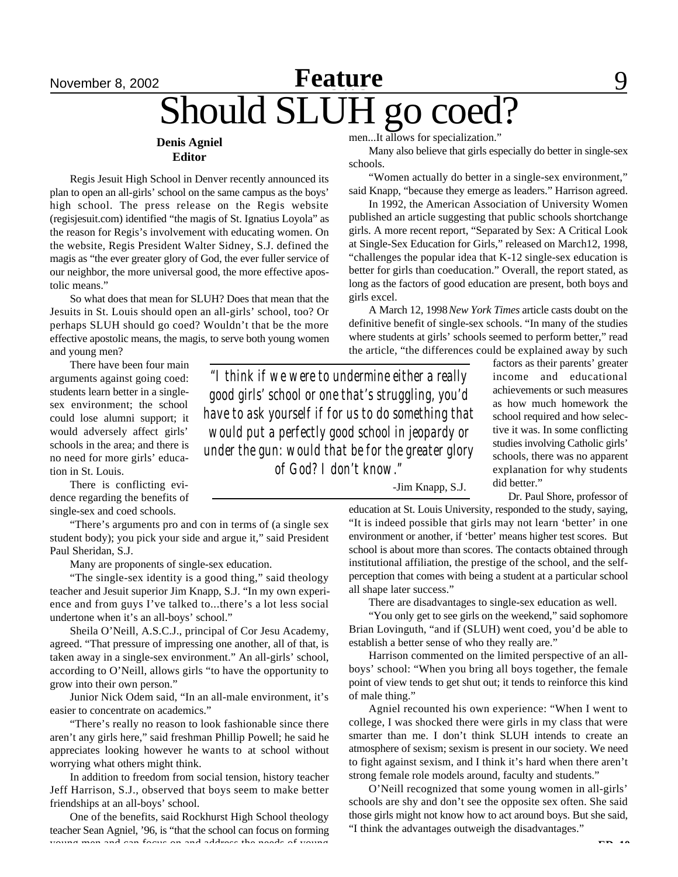## November 8, 2002 **Feature** 9 Should SLUH go coed? **Feature**

#### **Denis Agniel Editor**

Regis Jesuit High School in Denver recently announced its plan to open an all-girls' school on the same campus as the boys' high school. The press release on the Regis website (regisjesuit.com) identified "the magis of St. Ignatius Loyola" as the reason for Regis's involvement with educating women. On the website, Regis President Walter Sidney, S.J. defined the magis as "the ever greater glory of God, the ever fuller service of our neighbor, the more universal good, the more effective apostolic means."

So what does that mean for SLUH? Does that mean that the Jesuits in St. Louis should open an all-girls' school, too? Or perhaps SLUH should go coed? Wouldn't that be the more effective apostolic means, the magis, to serve both young women and young men?

There have been four main arguments against going coed: students learn better in a singlesex environment; the school could lose alumni support; it would adversely affect girls' schools in the area; and there is no need for more girls' education in St. Louis.

There is conflicting evidence regarding the benefits of single-sex and coed schools.

"There's arguments pro and con in terms of (a single sex student body); you pick your side and argue it," said President Paul Sheridan, S.J.

Many are proponents of single-sex education.

"The single-sex identity is a good thing," said theology teacher and Jesuit superior Jim Knapp, S.J. "In my own experience and from guys I've talked to...there's a lot less social undertone when it's an all-boys' school."

Sheila O'Neill, A.S.C.J., principal of Cor Jesu Academy, agreed. "That pressure of impressing one another, all of that, is taken away in a single-sex environment." An all-girls' school, according to O'Neill, allows girls "to have the opportunity to grow into their own person."

Junior Nick Odem said, "In an all-male environment, it's easier to concentrate on academics."

"There's really no reason to look fashionable since there aren't any girls here," said freshman Phillip Powell; he said he appreciates looking however he wants to at school without worrying what others might think.

In addition to freedom from social tension, history teacher Jeff Harrison, S.J., observed that boys seem to make better friendships at an all-boys' school.

One of the benefits, said Rockhurst High School theology teacher Sean Agniel, '96, is "that the school can focus on forming young men and can focus on and address the needs of young

men...It allows for specialization."

Many also believe that girls especially do better in single-sex schools.

"Women actually do better in a single-sex environment," said Knapp, "because they emerge as leaders." Harrison agreed.

In 1992, the American Association of University Women published an article suggesting that public schools shortchange girls. A more recent report, "Separated by Sex: A Critical Look at Single-Sex Education for Girls," released on March12, 1998, "challenges the popular idea that K-12 single-sex education is better for girls than coeducation." Overall, the report stated, as long as the factors of good education are present, both boys and girls excel.

A March 12, 1998 *New York Times* article casts doubt on the definitive benefit of single-sex schools. "In many of the studies where students at girls' schools seemed to perform better," read the article, "the differences could be explained away by such

*"I think if we were to undermine either a really good girls' school or one that's struggling, you'd have to ask yourself if for us to do something that would put a perfectly good school in jeopardy or under the gun: would that be for the greater glory of God? I don't know."*

factors as their parents' greater income and educational achievements or such measures as how much homework the school required and how selective it was. In some conflicting studies involving Catholic girls' schools, there was no apparent explanation for why students did better."

Dr. Paul Shore, professor of

-Jim Knapp, S.J.

education at St. Louis University, responded to the study, saying, "It is indeed possible that girls may not learn 'better' in one environment or another, if 'better' means higher test scores. But school is about more than scores. The contacts obtained through institutional affiliation, the prestige of the school, and the selfperception that comes with being a student at a particular school all shape later success."

There are disadvantages to single-sex education as well.

"You only get to see girls on the weekend," said sophomore Brian Lovinguth, "and if (SLUH) went coed, you'd be able to establish a better sense of who they really are."

Harrison commented on the limited perspective of an allboys' school: "When you bring all boys together, the female point of view tends to get shut out; it tends to reinforce this kind of male thing."

Agniel recounted his own experience: "When I went to college, I was shocked there were girls in my class that were smarter than me. I don't think SLUH intends to create an atmosphere of sexism; sexism is present in our society. We need to fight against sexism, and I think it's hard when there aren't strong female role models around, faculty and students."

O'Neill recognized that some young women in all-girls' schools are shy and don't see the opposite sex often. She said those girls might not know how to act around boys. But she said, "I think the advantages outweigh the disadvantages."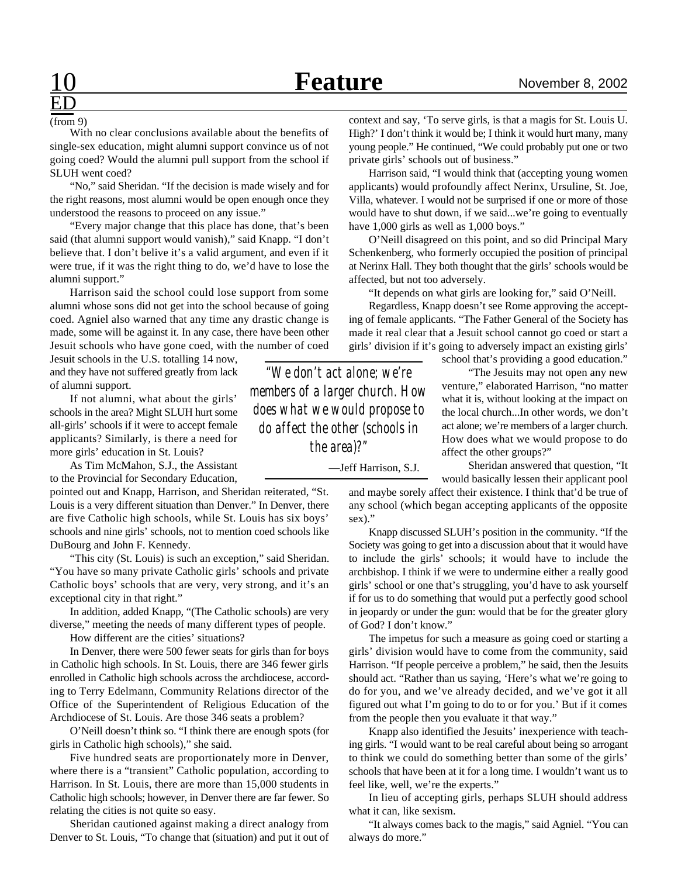#### (from 9)

ED

With no clear conclusions available about the benefits of single-sex education, might alumni support convince us of not going coed? Would the alumni pull support from the school if SLUH went coed?

"No," said Sheridan. "If the decision is made wisely and for the right reasons, most alumni would be open enough once they understood the reasons to proceed on any issue."

"Every major change that this place has done, that's been said (that alumni support would vanish)," said Knapp. "I don't believe that. I don't belive it's a valid argument, and even if it were true, if it was the right thing to do, we'd have to lose the alumni support."

Harrison said the school could lose support from some alumni whose sons did not get into the school because of going coed. Agniel also warned that any time any drastic change is made, some will be against it. In any case, there have been other Jesuit schools who have gone coed, with the number of coed

Jesuit schools in the U.S. totalling 14 now, and they have not suffered greatly from lack of alumni support.

If not alumni, what about the girls' schools in the area? Might SLUH hurt some all-girls' schools if it were to accept female applicants? Similarly, is there a need for more girls' education in St. Louis?

As Tim McMahon, S.J., the Assistant to the Provincial for Secondary Education,

pointed out and Knapp, Harrison, and Sheridan reiterated, "St. Louis is a very different situation than Denver." In Denver, there are five Catholic high schools, while St. Louis has six boys' schools and nine girls' schools, not to mention coed schools like DuBourg and John F. Kennedy.

"This city (St. Louis) is such an exception," said Sheridan. "You have so many private Catholic girls' schools and private Catholic boys' schools that are very, very strong, and it's an exceptional city in that right."

In addition, added Knapp, "(The Catholic schools) are very diverse," meeting the needs of many different types of people.

How different are the cities' situations?

In Denver, there were 500 fewer seats for girls than for boys in Catholic high schools. In St. Louis, there are 346 fewer girls enrolled in Catholic high schools across the archdiocese, according to Terry Edelmann, Community Relations director of the Office of the Superintendent of Religious Education of the Archdiocese of St. Louis. Are those 346 seats a problem?

O'Neill doesn't think so. "I think there are enough spots (for girls in Catholic high schools)," she said.

Five hundred seats are proportionately more in Denver, where there is a "transient" Catholic population, according to Harrison. In St. Louis, there are more than 15,000 students in Catholic high schools; however, in Denver there are far fewer. So relating the cities is not quite so easy.

Sheridan cautioned against making a direct analogy from Denver to St. Louis, "To change that (situation) and put it out of

context and say, 'To serve girls, is that a magis for St. Louis U. High?' I don't think it would be; I think it would hurt many, many young people." He continued, "We could probably put one or two private girls' schools out of business."

Harrison said, "I would think that (accepting young women applicants) would profoundly affect Nerinx, Ursuline, St. Joe, Villa, whatever. I would not be surprised if one or more of those would have to shut down, if we said...we're going to eventually have 1,000 girls as well as 1,000 boys."

O'Neill disagreed on this point, and so did Principal Mary Schenkenberg, who formerly occupied the position of principal at Nerinx Hall. They both thought that the girls' schools would be affected, but not too adversely.

"It depends on what girls are looking for," said O'Neill.

Regardless, Knapp doesn't see Rome approving the accepting of female applicants. "The Father General of the Society has made it real clear that a Jesuit school cannot go coed or start a girls' division if it's going to adversely impact an existing girls'

school that's providing a good education."

How does what we would propose to do *"We don't act alone; we're members of a larger church. How does what we would propose to do affect the other (schools in the area)?"*

—Jeff Harrison, S.J.

"The Jesuits may not open any new venture," elaborated Harrison, "no matter what it is, without looking at the impact on the local church...In other words, we don't act alone; we're members of a larger church.

affect the other groups?" Sheridan answered that question, "It would basically lessen their applicant pool

and maybe sorely affect their existence. I think that'd be true of any school (which began accepting applicants of the opposite sex)."

Knapp discussed SLUH's position in the community. "If the Society was going to get into a discussion about that it would have to include the girls' schools; it would have to include the archbishop. I think if we were to undermine either a really good girls' school or one that's struggling, you'd have to ask yourself if for us to do something that would put a perfectly good school in jeopardy or under the gun: would that be for the greater glory of God? I don't know."

The impetus for such a measure as going coed or starting a girls' division would have to come from the community, said Harrison. "If people perceive a problem," he said, then the Jesuits should act. "Rather than us saying, 'Here's what we're going to do for you, and we've already decided, and we've got it all figured out what I'm going to do to or for you.' But if it comes from the people then you evaluate it that way."

Knapp also identified the Jesuits' inexperience with teaching girls. "I would want to be real careful about being so arrogant to think we could do something better than some of the girls' schools that have been at it for a long time. I wouldn't want us to feel like, well, we're the experts."

In lieu of accepting girls, perhaps SLUH should address what it can, like sexism.

"It always comes back to the magis," said Agniel. "You can always do more."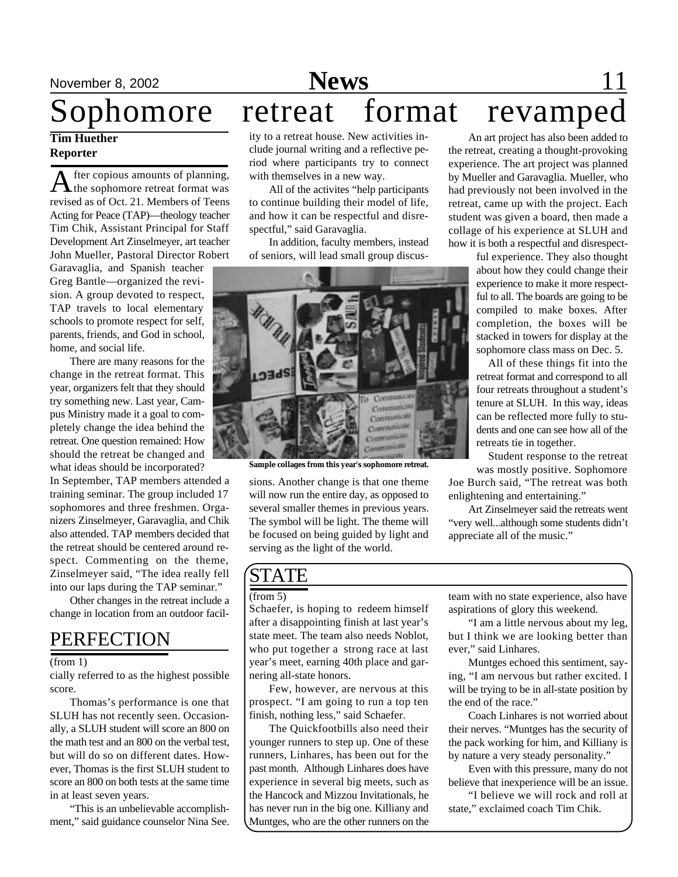## Sophomore retreat format revamped

#### **Tim Huether Reporter**

A fter copious amounts of planning,<br>the sophomore retreat format was fter copious amounts of planning, revised as of Oct. 21. Members of Teens Acting for Peace (TAP)—theology teacher Tim Chik, Assistant Principal for Staff Development Art Zinselmeyer, art teacher John Mueller, Pastoral Director Robert

Garavaglia, and Spanish teacher Greg Bantle—organized the revision. A group devoted to respect, TAP travels to local elementary schools to promote respect for self, parents, friends, and God in school, home, and social life.

There are many reasons for the change in the retreat format. This year, organizers felt that they should try something new. Last year, Campus Ministry made it a goal to completely change the idea behind the retreat. One question remained: How should the retreat be changed and what ideas should be incorporated?

In September, TAP members attended a training seminar. The group included 17 sophomores and three freshmen. Organizers Zinselmeyer, Garavaglia, and Chik also attended. TAP members decided that the retreat should be centered around respect. Commenting on the theme, Zinselmeyer said, "The idea really fell into our laps during the TAP seminar."

Other changes in the retreat include a change in location from an outdoor facil-

### PERFECTION

#### (from 1)

cially referred to as the highest possible score.

Thomas's performance is one that SLUH has not recently seen. Occasionally, a SLUH student will score an 800 on the math test and an 800 on the verbal test, but will do so on different dates. However, Thomas is the first SLUH student to score an 800 on both tests at the same time in at least seven years.

"This is an unbelievable accomplishment," said guidance counselor Nina See.

ity to a retreat house. New activities include journal writing and a reflective period where participants try to connect with themselves in a new way.

All of the activites "help participants to continue building their model of life, and how it can be respectful and disrespectful," said Garavaglia.

In addition, faculty members, instead of seniors, will lead small group discus-



**Sample collages from this year's sophomore retreat.**

sions. Another change is that one theme will now run the entire day, as opposed to several smaller themes in previous years. The symbol will be light. The theme will be focused on being guided by light and serving as the light of the world.

An art project has also been added to the retreat, creating a thought-provoking experience. The art project was planned by Mueller and Garavaglia. Mueller, who had previously not been involved in the retreat, came up with the project. Each student was given a board, then made a collage of his experience at SLUH and how it is both a respectful and disrespect-

ful experience. They also thought about how they could change their experience to make it more respectful to all. The boards are going to be compiled to make boxes. After completion, the boxes will be stacked in towers for display at the sophomore class mass on Dec. 5.

All of these things fit into the retreat format and correspond to all four retreats throughout a student's tenure at SLUH. In this way, ideas can be reflected more fully to students and one can see how all of the retreats tie in together.

Student response to the retreat was mostly positive. Sophomore

Joe Burch said, "The retreat was both enlightening and entertaining."

Art Zinselmeyer said the retreats went "very well...although some students didn't appreciate all of the music."

### **STATE**

#### (from 5)

Schaefer, is hoping to redeem himself after a disappointing finish at last year's state meet. The team also needs Noblot, who put together a strong race at last year's meet, earning 40th place and garnering all-state honors.

Few, however, are nervous at this prospect. "I am going to run a top ten finish, nothing less," said Schaefer.

The Quickfootbills also need their younger runners to step up. One of these runners, Linhares, has been out for the past month. Although Linhares does have experience in several big meets, such as the Hancock and Mizzou Invitationals, he has never run in the big one. Killiany and Muntges, who are the other runners on the

team with no state experience, also have aspirations of glory this weekend.

"I am a little nervous about my leg, but I think we are looking better than ever," said Linhares.

Muntges echoed this sentiment, saying, "I am nervous but rather excited. I will be trying to be in all-state position by the end of the race."

Coach Linhares is not worried about their nerves. "Muntges has the security of the pack working for him, and Killiany is by nature a very steady personality."

Even with this pressure, many do not believe that inexperience will be an issue.

"I believe we will rock and roll at state," exclaimed coach Tim Chik.